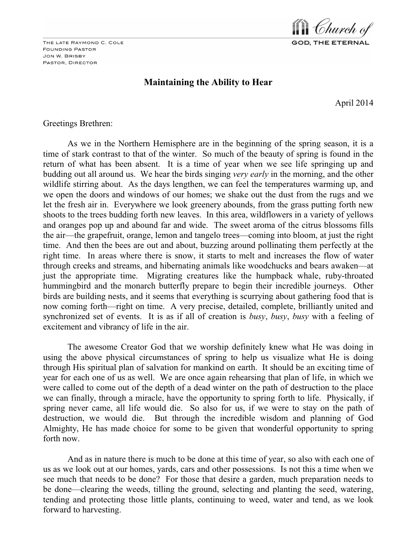THE LATE RAYMOND C. COLE **FOUNDING PASTOR** JON W. BRISBY PASTOR, DIRECTOR



# **Maintaining the Ability to Hear**

April 2014

Greetings Brethren:

As we in the Northern Hemisphere are in the beginning of the spring season, it is a time of stark contrast to that of the winter. So much of the beauty of spring is found in the return of what has been absent. It is a time of year when we see life springing up and budding out all around us. We hear the birds singing *very early* in the morning, and the other wildlife stirring about. As the days lengthen, we can feel the temperatures warming up, and we open the doors and windows of our homes; we shake out the dust from the rugs and we let the fresh air in. Everywhere we look greenery abounds, from the grass putting forth new shoots to the trees budding forth new leaves. In this area, wildflowers in a variety of yellows and oranges pop up and abound far and wide. The sweet aroma of the citrus blossoms fills the air—the grapefruit, orange, lemon and tangelo trees—coming into bloom, at just the right time. And then the bees are out and about, buzzing around pollinating them perfectly at the right time. In areas where there is snow, it starts to melt and increases the flow of water through creeks and streams, and hibernating animals like woodchucks and bears awaken—at just the appropriate time. Migrating creatures like the humpback whale, ruby-throated hummingbird and the monarch butterfly prepare to begin their incredible journeys. Other birds are building nests, and it seems that everything is scurrying about gathering food that is now coming forth—right on time. A very precise, detailed, complete, brilliantly united and synchronized set of events. It is as if all of creation is *busy*, *busy*, *busy* with a feeling of excitement and vibrancy of life in the air.

The awesome Creator God that we worship definitely knew what He was doing in using the above physical circumstances of spring to help us visualize what He is doing through His spiritual plan of salvation for mankind on earth. It should be an exciting time of year for each one of us as well. We are once again rehearsing that plan of life, in which we were called to come out of the depth of a dead winter on the path of destruction to the place we can finally, through a miracle, have the opportunity to spring forth to life. Physically, if spring never came, all life would die. So also for us, if we were to stay on the path of destruction, we would die. But through the incredible wisdom and planning of God Almighty, He has made choice for some to be given that wonderful opportunity to spring forth now.

And as in nature there is much to be done at this time of year, so also with each one of us as we look out at our homes, yards, cars and other possessions. Is not this a time when we see much that needs to be done? For those that desire a garden, much preparation needs to be done—clearing the weeds, tilling the ground, selecting and planting the seed, watering, tending and protecting those little plants, continuing to weed, water and tend, as we look forward to harvesting.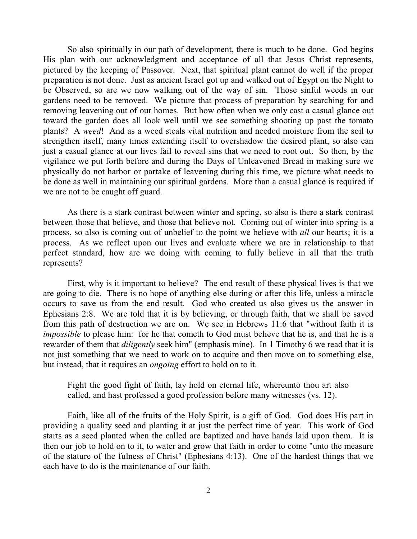So also spiritually in our path of development, there is much to be done. God begins His plan with our acknowledgment and acceptance of all that Jesus Christ represents, pictured by the keeping of Passover. Next, that spiritual plant cannot do well if the proper preparation is not done. Just as ancient Israel got up and walked out of Egypt on the Night to be Observed, so are we now walking out of the way of sin. Those sinful weeds in our gardens need to be removed. We picture that process of preparation by searching for and removing leavening out of our homes. But how often when we only cast a casual glance out toward the garden does all look well until we see something shooting up past the tomato plants? A *weed*! And as a weed steals vital nutrition and needed moisture from the soil to strengthen itself, many times extending itself to overshadow the desired plant, so also can just a casual glance at our lives fail to reveal sins that we need to root out. So then, by the vigilance we put forth before and during the Days of Unleavened Bread in making sure we physically do not harbor or partake of leavening during this time, we picture what needs to be done as well in maintaining our spiritual gardens. More than a casual glance is required if we are not to be caught off guard.

As there is a stark contrast between winter and spring, so also is there a stark contrast between those that believe, and those that believe not. Coming out of winter into spring is a process, so also is coming out of unbelief to the point we believe with *all* our hearts; it is a process. As we reflect upon our lives and evaluate where we are in relationship to that perfect standard, how are we doing with coming to fully believe in all that the truth represents?

First, why is it important to believe? The end result of these physical lives is that we are going to die. There is no hope of anything else during or after this life, unless a miracle occurs to save us from the end result. God who created us also gives us the answer in Ephesians 2:8. We are told that it is by believing, or through faith, that we shall be saved from this path of destruction we are on. We see in Hebrews 11:6 that "without faith it is *impossible* to please him: for he that cometh to God must believe that he is, and that he is a rewarder of them that *diligently* seek him" (emphasis mine). In 1 Timothy 6 we read that it is not just something that we need to work on to acquire and then move on to something else, but instead, that it requires an *ongoing* effort to hold on to it.

Fight the good fight of faith, lay hold on eternal life, whereunto thou art also called, and hast professed a good profession before many witnesses (vs. 12).

Faith, like all of the fruits of the Holy Spirit, is a gift of God. God does His part in providing a quality seed and planting it at just the perfect time of year. This work of God starts as a seed planted when the called are baptized and have hands laid upon them. It is then our job to hold on to it, to water and grow that faith in order to come "unto the measure of the stature of the fulness of Christ" (Ephesians 4:13). One of the hardest things that we each have to do is the maintenance of our faith.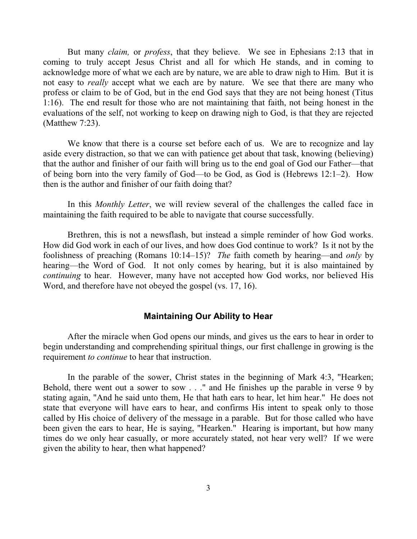But many *claim,* or *profess*, that they believe. We see in Ephesians 2:13 that in coming to truly accept Jesus Christ and all for which He stands, and in coming to acknowledge more of what we each are by nature, we are able to draw nigh to Him. But it is not easy to *really* accept what we each are by nature. We see that there are many who profess or claim to be of God, but in the end God says that they are not being honest (Titus 1:16). The end result for those who are not maintaining that faith, not being honest in the evaluations of the self, not working to keep on drawing nigh to God, is that they are rejected (Matthew 7:23).

We know that there is a course set before each of us. We are to recognize and lay aside every distraction, so that we can with patience get about that task, knowing (believing) that the author and finisher of our faith will bring us to the end goal of God our Father—that of being born into the very family of God—to be God, as God is (Hebrews 12:1–2). How then is the author and finisher of our faith doing that?

In this *Monthly Letter*, we will review several of the challenges the called face in maintaining the faith required to be able to navigate that course successfully.

Brethren, this is not a newsflash, but instead a simple reminder of how God works. How did God work in each of our lives, and how does God continue to work? Is it not by the foolishness of preaching (Romans 10:14–15)? *The* faith cometh by hearing—and *only* by hearing—the Word of God. It not only comes by hearing, but it is also maintained by *continuing* to hear. However, many have not accepted how God works, nor believed His Word, and therefore have not obeyed the gospel (vs. 17, 16).

## **Maintaining Our Ability to Hear**

After the miracle when God opens our minds, and gives us the ears to hear in order to begin understanding and comprehending spiritual things, our first challenge in growing is the requirement *to continue* to hear that instruction.

In the parable of the sower, Christ states in the beginning of Mark 4:3, "Hearken; Behold, there went out a sower to sow . . ." and He finishes up the parable in verse 9 by stating again, "And he said unto them, He that hath ears to hear, let him hear." He does not state that everyone will have ears to hear, and confirms His intent to speak only to those called by His choice of delivery of the message in a parable. But for those called who have been given the ears to hear, He is saying, "Hearken." Hearing is important, but how many times do we only hear casually, or more accurately stated, not hear very well? If we were given the ability to hear, then what happened?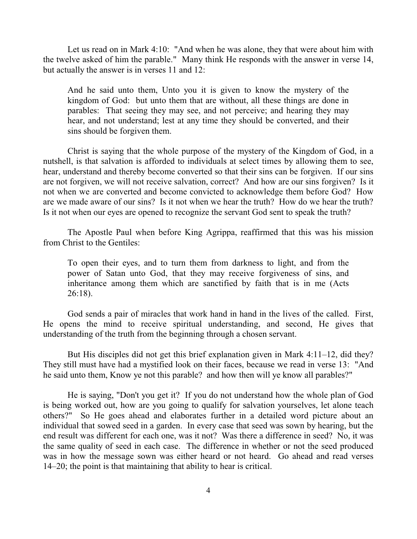Let us read on in Mark 4:10: "And when he was alone, they that were about him with the twelve asked of him the parable." Many think He responds with the answer in verse 14, but actually the answer is in verses 11 and 12:

And he said unto them, Unto you it is given to know the mystery of the kingdom of God: but unto them that are without, all these things are done in parables: That seeing they may see, and not perceive; and hearing they may hear, and not understand; lest at any time they should be converted, and their sins should be forgiven them.

Christ is saying that the whole purpose of the mystery of the Kingdom of God, in a nutshell, is that salvation is afforded to individuals at select times by allowing them to see, hear, understand and thereby become converted so that their sins can be forgiven. If our sins are not forgiven, we will not receive salvation, correct? And how are our sins forgiven? Is it not when we are converted and become convicted to acknowledge them before God? How are we made aware of our sins? Is it not when we hear the truth? How do we hear the truth? Is it not when our eyes are opened to recognize the servant God sent to speak the truth?

The Apostle Paul when before King Agrippa, reaffirmed that this was his mission from Christ to the Gentiles:

To open their eyes, and to turn them from darkness to light, and from the power of Satan unto God, that they may receive forgiveness of sins, and inheritance among them which are sanctified by faith that is in me (Acts 26:18).

God sends a pair of miracles that work hand in hand in the lives of the called. First, He opens the mind to receive spiritual understanding, and second, He gives that understanding of the truth from the beginning through a chosen servant.

But His disciples did not get this brief explanation given in Mark 4:11–12, did they? They still must have had a mystified look on their faces, because we read in verse 13: "And he said unto them, Know ye not this parable? and how then will ye know all parables?"

He is saying, "Don't you get it? If you do not understand how the whole plan of God is being worked out, how are you going to qualify for salvation yourselves, let alone teach others?" So He goes ahead and elaborates further in a detailed word picture about an individual that sowed seed in a garden. In every case that seed was sown by hearing, but the end result was different for each one, was it not? Was there a difference in seed? No, it was the same quality of seed in each case. The difference in whether or not the seed produced was in how the message sown was either heard or not heard. Go ahead and read verses 14–20; the point is that maintaining that ability to hear is critical.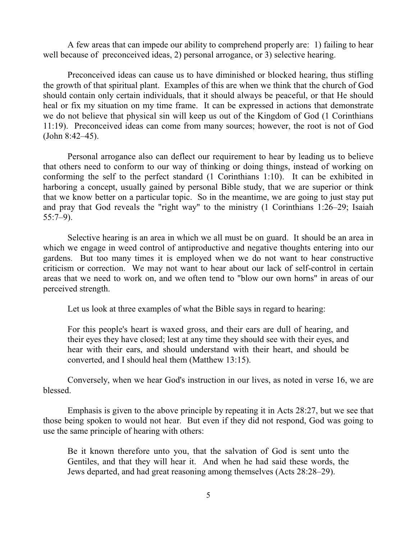A few areas that can impede our ability to comprehend properly are: 1) failing to hear well because of preconceived ideas, 2) personal arrogance, or 3) selective hearing.

Preconceived ideas can cause us to have diminished or blocked hearing, thus stifling the growth of that spiritual plant. Examples of this are when we think that the church of God should contain only certain individuals, that it should always be peaceful, or that He should heal or fix my situation on my time frame. It can be expressed in actions that demonstrate we do not believe that physical sin will keep us out of the Kingdom of God (1 Corinthians 11:19). Preconceived ideas can come from many sources; however, the root is not of God (John 8:42–45).

Personal arrogance also can deflect our requirement to hear by leading us to believe that others need to conform to our way of thinking or doing things, instead of working on conforming the self to the perfect standard (1 Corinthians 1:10). It can be exhibited in harboring a concept, usually gained by personal Bible study, that we are superior or think that we know better on a particular topic. So in the meantime, we are going to just stay put and pray that God reveals the "right way" to the ministry (1 Corinthians 1:26–29; Isaiah 55:7–9).

Selective hearing is an area in which we all must be on guard. It should be an area in which we engage in weed control of antiproductive and negative thoughts entering into our gardens. But too many times it is employed when we do not want to hear constructive criticism or correction. We may not want to hear about our lack of self-control in certain areas that we need to work on, and we often tend to "blow our own horns" in areas of our perceived strength.

Let us look at three examples of what the Bible says in regard to hearing:

For this people's heart is waxed gross, and their ears are dull of hearing, and their eyes they have closed; lest at any time they should see with their eyes, and hear with their ears, and should understand with their heart, and should be converted, and I should heal them (Matthew 13:15).

Conversely, when we hear God's instruction in our lives, as noted in verse 16, we are blessed.

Emphasis is given to the above principle by repeating it in Acts 28:27, but we see that those being spoken to would not hear. But even if they did not respond, God was going to use the same principle of hearing with others:

Be it known therefore unto you, that the salvation of God is sent unto the Gentiles, and that they will hear it. And when he had said these words, the Jews departed, and had great reasoning among themselves (Acts 28:28–29).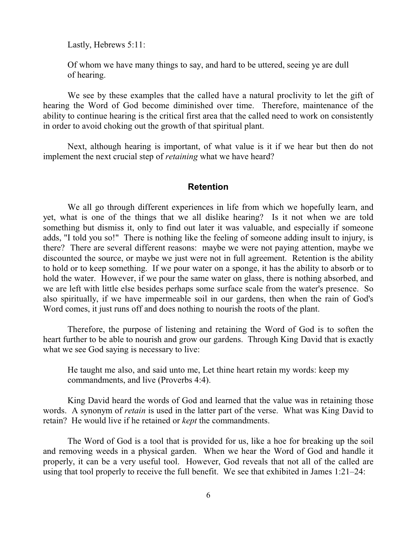Lastly, Hebrews 5:11:

Of whom we have many things to say, and hard to be uttered, seeing ye are dull of hearing.

We see by these examples that the called have a natural proclivity to let the gift of hearing the Word of God become diminished over time. Therefore, maintenance of the ability to continue hearing is the critical first area that the called need to work on consistently in order to avoid choking out the growth of that spiritual plant.

Next, although hearing is important, of what value is it if we hear but then do not implement the next crucial step of *retaining* what we have heard?

#### **Retention**

We all go through different experiences in life from which we hopefully learn, and yet, what is one of the things that we all dislike hearing? Is it not when we are told something but dismiss it, only to find out later it was valuable, and especially if someone adds, "I told you so!" There is nothing like the feeling of someone adding insult to injury, is there? There are several different reasons: maybe we were not paying attention, maybe we discounted the source, or maybe we just were not in full agreement. Retention is the ability to hold or to keep something. If we pour water on a sponge, it has the ability to absorb or to hold the water. However, if we pour the same water on glass, there is nothing absorbed, and we are left with little else besides perhaps some surface scale from the water's presence. So also spiritually, if we have impermeable soil in our gardens, then when the rain of God's Word comes, it just runs off and does nothing to nourish the roots of the plant.

Therefore, the purpose of listening and retaining the Word of God is to soften the heart further to be able to nourish and grow our gardens. Through King David that is exactly what we see God saying is necessary to live:

He taught me also, and said unto me, Let thine heart retain my words: keep my commandments, and live (Proverbs 4:4).

King David heard the words of God and learned that the value was in retaining those words. A synonym of *retain* is used in the latter part of the verse. What was King David to retain? He would live if he retained or *kept* the commandments.

The Word of God is a tool that is provided for us, like a hoe for breaking up the soil and removing weeds in a physical garden. When we hear the Word of God and handle it properly, it can be a very useful tool. However, God reveals that not all of the called are using that tool properly to receive the full benefit. We see that exhibited in James 1:21–24: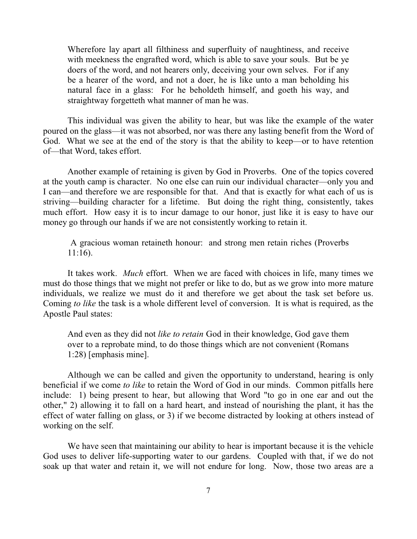Wherefore lay apart all filthiness and superfluity of naughtiness, and receive with meekness the engrafted word, which is able to save your souls. But be ye doers of the word, and not hearers only, deceiving your own selves. For if any be a hearer of the word, and not a doer, he is like unto a man beholding his natural face in a glass: For he beholdeth himself, and goeth his way, and straightway forgetteth what manner of man he was.

This individual was given the ability to hear, but was like the example of the water poured on the glass—it was not absorbed, nor was there any lasting benefit from the Word of God. What we see at the end of the story is that the ability to keep—or to have retention of—that Word, takes effort.

Another example of retaining is given by God in Proverbs. One of the topics covered at the youth camp is character. No one else can ruin our individual character—only you and I can—and therefore we are responsible for that. And that is exactly for what each of us is striving—building character for a lifetime. But doing the right thing, consistently, takes much effort. How easy it is to incur damage to our honor, just like it is easy to have our money go through our hands if we are not consistently working to retain it.

A gracious woman retaineth honour: and strong men retain riches (Proverbs 11:16).

It takes work. *Much* effort. When we are faced with choices in life, many times we must do those things that we might not prefer or like to do, but as we grow into more mature individuals, we realize we must do it and therefore we get about the task set before us. Coming *to like* the task is a whole different level of conversion. It is what is required, as the Apostle Paul states:

And even as they did not *like to retain* God in their knowledge, God gave them over to a reprobate mind, to do those things which are not convenient (Romans 1:28) [emphasis mine].

Although we can be called and given the opportunity to understand, hearing is only beneficial if we come *to like* to retain the Word of God in our minds. Common pitfalls here include: 1) being present to hear, but allowing that Word "to go in one ear and out the other," 2) allowing it to fall on a hard heart, and instead of nourishing the plant, it has the effect of water falling on glass, or 3) if we become distracted by looking at others instead of working on the self.

We have seen that maintaining our ability to hear is important because it is the vehicle God uses to deliver life-supporting water to our gardens. Coupled with that, if we do not soak up that water and retain it, we will not endure for long. Now, those two areas are a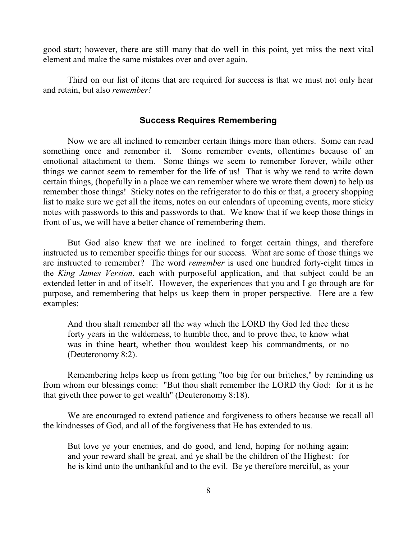good start; however, there are still many that do well in this point, yet miss the next vital element and make the same mistakes over and over again.

Third on our list of items that are required for success is that we must not only hear and retain, but also *remember!*

# **Success Requires Remembering**

Now we are all inclined to remember certain things more than others. Some can read something once and remember it. Some remember events, oftentimes because of an emotional attachment to them. Some things we seem to remember forever, while other things we cannot seem to remember for the life of us! That is why we tend to write down certain things, (hopefully in a place we can remember where we wrote them down) to help us remember those things! Sticky notes on the refrigerator to do this or that, a grocery shopping list to make sure we get all the items, notes on our calendars of upcoming events, more sticky notes with passwords to this and passwords to that. We know that if we keep those things in front of us, we will have a better chance of remembering them.

But God also knew that we are inclined to forget certain things, and therefore instructed us to remember specific things for our success. What are some of those things we are instructed to remember? The word *remember* is used one hundred forty-eight times in the *King James Version*, each with purposeful application, and that subject could be an extended letter in and of itself. However, the experiences that you and I go through are for purpose, and remembering that helps us keep them in proper perspective. Here are a few examples:

And thou shalt remember all the way which the LORD thy God led thee these forty years in the wilderness, to humble thee, and to prove thee, to know what was in thine heart, whether thou wouldest keep his commandments, or no (Deuteronomy 8:2).

Remembering helps keep us from getting "too big for our britches," by reminding us from whom our blessings come: "But thou shalt remember the LORD thy God: for it is he that giveth thee power to get wealth" (Deuteronomy 8:18).

We are encouraged to extend patience and forgiveness to others because we recall all the kindnesses of God, and all of the forgiveness that He has extended to us.

But love ye your enemies, and do good, and lend, hoping for nothing again; and your reward shall be great, and ye shall be the children of the Highest: for he is kind unto the unthankful and to the evil. Be ye therefore merciful, as your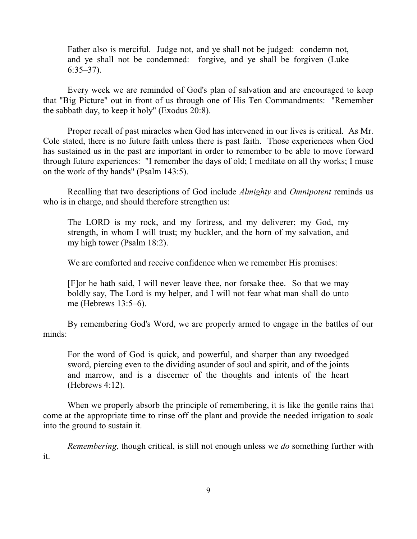Father also is merciful. Judge not, and ye shall not be judged: condemn not, and ye shall not be condemned: forgive, and ye shall be forgiven (Luke 6:35–37).

Every week we are reminded of God's plan of salvation and are encouraged to keep that "Big Picture" out in front of us through one of His Ten Commandments: "Remember the sabbath day, to keep it holy" (Exodus 20:8).

Proper recall of past miracles when God has intervened in our lives is critical. As Mr. Cole stated, there is no future faith unless there is past faith. Those experiences when God has sustained us in the past are important in order to remember to be able to move forward through future experiences: "I remember the days of old; I meditate on all thy works; I muse on the work of thy hands" (Psalm 143:5).

Recalling that two descriptions of God include *Almighty* and *Omnipotent* reminds us who is in charge, and should therefore strengthen us:

The LORD is my rock, and my fortress, and my deliverer; my God, my strength, in whom I will trust; my buckler, and the horn of my salvation, and my high tower (Psalm 18:2).

We are comforted and receive confidence when we remember His promises:

[F]or he hath said, I will never leave thee, nor forsake thee. So that we may boldly say, The Lord is my helper, and I will not fear what man shall do unto me (Hebrews 13:5–6).

By remembering God's Word, we are properly armed to engage in the battles of our minds:

For the word of God is quick, and powerful, and sharper than any twoedged sword, piercing even to the dividing asunder of soul and spirit, and of the joints and marrow, and is a discerner of the thoughts and intents of the heart (Hebrews 4:12).

When we properly absorb the principle of remembering, it is like the gentle rains that come at the appropriate time to rinse off the plant and provide the needed irrigation to soak into the ground to sustain it.

*Remembering*, though critical, is still not enough unless we *do* something further with

it.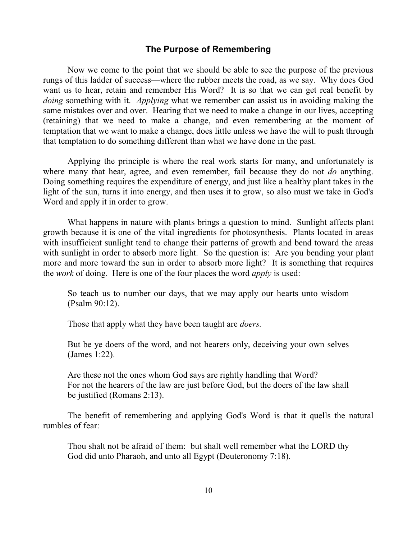## **The Purpose of Remembering**

Now we come to the point that we should be able to see the purpose of the previous rungs of this ladder of success—where the rubber meets the road, as we say. Why does God want us to hear, retain and remember His Word? It is so that we can get real benefit by *doing* something with it. *Applying* what we remember can assist us in avoiding making the same mistakes over and over. Hearing that we need to make a change in our lives, accepting (retaining) that we need to make a change, and even remembering at the moment of temptation that we want to make a change, does little unless we have the will to push through that temptation to do something different than what we have done in the past.

Applying the principle is where the real work starts for many, and unfortunately is where many that hear, agree, and even remember, fail because they do not *do* anything. Doing something requires the expenditure of energy, and just like a healthy plant takes in the light of the sun, turns it into energy, and then uses it to grow, so also must we take in God's Word and apply it in order to grow.

What happens in nature with plants brings a question to mind. Sunlight affects plant growth because it is one of the vital ingredients for photosynthesis. Plants located in areas with insufficient sunlight tend to change their patterns of growth and bend toward the areas with sunlight in order to absorb more light. So the question is: Are you bending your plant more and more toward the sun in order to absorb more light? It is something that requires the *work* of doing. Here is one of the four places the word *apply* is used:

So teach us to number our days, that we may apply our hearts unto wisdom (Psalm 90:12).

Those that apply what they have been taught are *doers.*

But be ye doers of the word, and not hearers only, deceiving your own selves (James 1:22).

Are these not the ones whom God says are rightly handling that Word? For not the hearers of the law are just before God, but the doers of the law shall be justified (Romans 2:13).

The benefit of remembering and applying God's Word is that it quells the natural rumbles of fear:

Thou shalt not be afraid of them: but shalt well remember what the LORD thy God did unto Pharaoh, and unto all Egypt (Deuteronomy 7:18).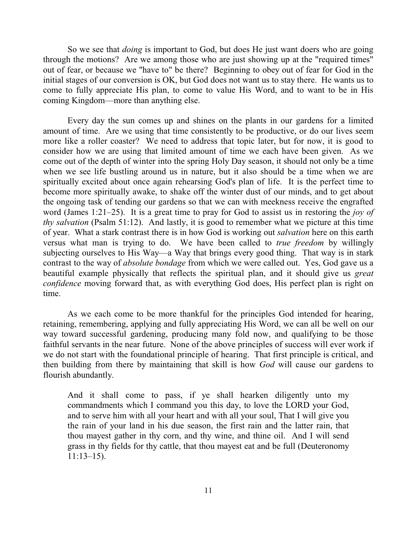So we see that *doing* is important to God, but does He just want doers who are going through the motions? Are we among those who are just showing up at the "required times" out of fear, or because we "have to" be there? Beginning to obey out of fear for God in the initial stages of our conversion is OK, but God does not want us to stay there. He wants us to come to fully appreciate His plan, to come to value His Word, and to want to be in His coming Kingdom—more than anything else.

Every day the sun comes up and shines on the plants in our gardens for a limited amount of time. Are we using that time consistently to be productive, or do our lives seem more like a roller coaster? We need to address that topic later, but for now, it is good to consider how we are using that limited amount of time we each have been given. As we come out of the depth of winter into the spring Holy Day season, it should not only be a time when we see life bustling around us in nature, but it also should be a time when we are spiritually excited about once again rehearsing God's plan of life. It is the perfect time to become more spiritually awake, to shake off the winter dust of our minds, and to get about the ongoing task of tending our gardens so that we can with meekness receive the engrafted word (James 1:21–25). It is a great time to pray for God to assist us in restoring the *joy of thy salvation* (Psalm 51:12). And lastly, it is good to remember what we picture at this time of year. What a stark contrast there is in how God is working out *salvation* here on this earth versus what man is trying to do. We have been called to *true freedom* by willingly subjecting ourselves to His Way—a Way that brings every good thing. That way is in stark contrast to the way of *absolute bondage* from which we were called out. Yes, God gave us a beautiful example physically that reflects the spiritual plan, and it should give us *great confidence* moving forward that, as with everything God does, His perfect plan is right on time.

As we each come to be more thankful for the principles God intended for hearing, retaining, remembering, applying and fully appreciating His Word, we can all be well on our way toward successful gardening, producing many fold now, and qualifying to be those faithful servants in the near future. None of the above principles of success will ever work if we do not start with the foundational principle of hearing. That first principle is critical, and then building from there by maintaining that skill is how *God* will cause our gardens to flourish abundantly.

And it shall come to pass, if ye shall hearken diligently unto my commandments which I command you this day, to love the LORD your God, and to serve him with all your heart and with all your soul, That I will give you the rain of your land in his due season, the first rain and the latter rain, that thou mayest gather in thy corn, and thy wine, and thine oil. And I will send grass in thy fields for thy cattle, that thou mayest eat and be full (Deuteronomy 11:13–15).